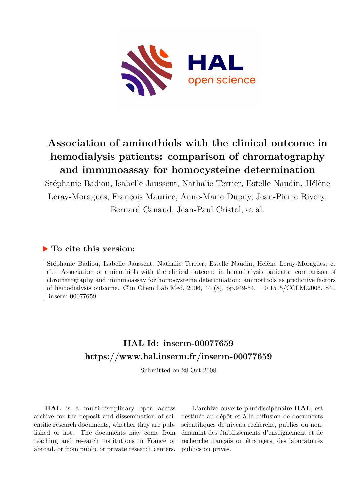

## **Association of aminothiols with the clinical outcome in hemodialysis patients: comparison of chromatography and immunoassay for homocysteine determination**

Stéphanie Badiou, Isabelle Jaussent, Nathalie Terrier, Estelle Naudin, Hélène Leray-Moragues, François Maurice, Anne-Marie Dupuy, Jean-Pierre Rivory, Bernard Canaud, Jean-Paul Cristol, et al.

## **To cite this version:**

Stéphanie Badiou, Isabelle Jaussent, Nathalie Terrier, Estelle Naudin, Hélène Leray-Moragues, et al.. Association of aminothiols with the clinical outcome in hemodialysis patients: comparison of chromatography and immunoassay for homocysteine determination: aminothiols as predictive factors of hemodialysis outcome. Clin Chem Lab Med, 2006, 44 (8), pp.949-54.  $10.1515/CCLM.2006.184$ .  $inserm-00077659$ 

## **HAL Id: inserm-00077659 <https://www.hal.inserm.fr/inserm-00077659>**

Submitted on 28 Oct 2008

**HAL** is a multi-disciplinary open access archive for the deposit and dissemination of scientific research documents, whether they are published or not. The documents may come from teaching and research institutions in France or abroad, or from public or private research centers.

L'archive ouverte pluridisciplinaire **HAL**, est destinée au dépôt et à la diffusion de documents scientifiques de niveau recherche, publiés ou non, émanant des établissements d'enseignement et de recherche français ou étrangers, des laboratoires publics ou privés.